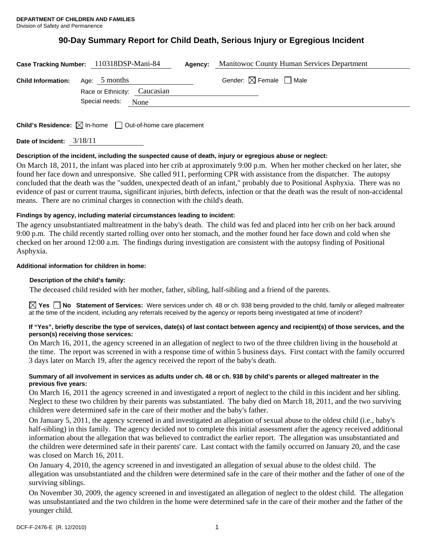# **90-Day Summary Report for Child Death, Serious Injury or Egregious Incident**

|                                         | Case Tracking Number: 110318DSP-Mani-84 | Agency: | <b>Manitowoc County Human Services Department</b> |
|-----------------------------------------|-----------------------------------------|---------|---------------------------------------------------|
| <b>Child Information:</b> Age: 5 months | Race or Ethnicity: Caucasian            |         | Gender: $\boxtimes$ Female $\Box$ Male            |
|                                         | Special needs:<br>None                  |         |                                                   |
|                                         |                                         |         |                                                   |

**Child's Residence:**  $\boxtimes$  In-home  $\Box$  Out-of-home care placement

**Date of Incident:** 3/18/11

### **Description of the incident, including the suspected cause of death, injury or egregious abuse or neglect:**

On March 18, 2011, the infant was placed into her crib at approximately 9:00 p.m. When her mother checked on her later, she found her face down and unresponsive. She called 911, performing CPR with assistance from the dispatcher. The autopsy concluded that the death was the "sudden, unexpected death of an infant," probably due to Positional Asphyxia. There was no evidence of past or current trauma, significant injuries, birth defects, infection or that the death was the result of non-accidental means. There are no criminal charges in connection with the child's death.

### **Findings by agency, including material circumstances leading to incident:**

The agency unsubstantiated maltreatment in the baby's death. The child was fed and placed into her crib on her back around 9:00 p.m. The child recently started rolling over onto her stomach, and the mother found her face down and cold when she checked on her around 12:00 a.m. The findings during investigation are consistent with the autopsy finding of Positional Asphyxia.

### **Additional information for children in home:**

### **Description of the child's family:**

The deceased child resided with her mother, father, sibling, half-sibling and a friend of the parents.

**Yes No Statement of Services:** Were services under ch. 48 or ch. 938 being provided to the child, family or alleged maltreater at the time of the incident, including any referrals received by the agency or reports being investigated at time of incident?

### **If "Yes", briefly describe the type of services, date(s) of last contact between agency and recipient(s) of those services, and the person(s) receiving those services:**

On March 16, 2011, the agency screened in an allegation of neglect to two of the three children living in the household at the time. The report was screened in with a response time of within 5 business days. First contact with the family occurred 3 days later on March 19, after the agency received the report of the baby's death.

### **Summary of all involvement in services as adults under ch. 48 or ch. 938 by child's parents or alleged maltreater in the previous five years:**

On March 16, 2011 the agency screened in and investigated a report of neglect to the child in this incident and her sibling. Neglect to these two children by their parents was substantiated. The baby died on March 18, 2011, and the two surviving children were determined safe in the care of their mother and the baby's father.

On January 5, 2011, the agency screened in and investigated an allegation of sexual abuse to the oldest child (i.e., baby's half-sibling) in this family. The agency decided not to complete this initial assessment after the agency received additional information about the allegation that was believed to contradict the earlier report. The allegation was unsubstantiated and the children were determined safe in their parents' care. Last contact with the family occurred on January 20, and the case was closed on March 16, 2011.

On January 4, 2010, the agency screened in and investigated an allegation of sexual abuse to the oldest child. The allegation was unsubstantiated and the children were determined safe in the care of their mother and the father of one of the surviving siblings.

On November 30, 2009, the agency screened in and investigated an allegation of neglect to the oldest child. The allegation was unsubstantiated and the two children in the home were determined safe in the care of their mother and the father of the younger child.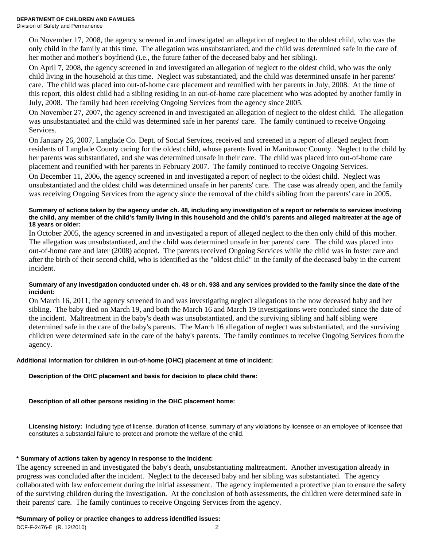On November 17, 2008, the agency screened in and investigated an allegation of neglect to the oldest child, who was the only child in the family at this time. The allegation was unsubstantiated, and the child was determined safe in the care of her mother and mother's boyfriend (i.e., the future father of the deceased baby and her sibling).

On April 7, 2008, the agency screened in and investigated an allegation of neglect to the oldest child, who was the only child living in the household at this time. Neglect was substantiated, and the child was determined unsafe in her parents' care. The child was placed into out-of-home care placement and reunified with her parents in July, 2008. At the time of this report, this oldest child had a sibling residing in an out-of-home care placement who was adopted by another family in July, 2008. The family had been receiving Ongoing Services from the agency since 2005.

On November 27, 2007, the agency screened in and investigated an allegation of neglect to the oldest child. The allegation was unsubstantiated and the child was determined safe in her parents' care. The family continued to receive Ongoing Services.

On January 26, 2007, Langlade Co. Dept. of Social Services, received and screened in a report of alleged neglect from residents of Langlade County caring for the oldest child, whose parents lived in Manitowoc County. Neglect to the child by her parents was substantiated, and she was determined unsafe in their care. The child was placed into out-of-home care placement and reunified with her parents in February 2007. The family continued to receive Ongoing Services.

On December 11, 2006, the agency screened in and investigated a report of neglect to the oldest child. Neglect was unsubstantiated and the oldest child was determined unsafe in her parents' care. The case was already open, and the family was receiving Ongoing Services from the agency since the removal of the child's sibling from the parents' care in 2005.

### **Summary of actions taken by the agency under ch. 48, including any investigation of a report or referrals to services involving the child, any member of the child's family living in this household and the child's parents and alleged maltreater at the age of 18 years or older:**

In October 2005, the agency screened in and investigated a report of alleged neglect to the then only child of this mother. The allegation was unsubstantiated, and the child was determined unsafe in her parents' care. The child was placed into out-of-home care and later (2008) adopted. The parents received Ongoing Services while the child was in foster care and after the birth of their second child, who is identified as the "oldest child" in the family of the deceased baby in the current incident.

### **Summary of any investigation conducted under ch. 48 or ch. 938 and any services provided to the family since the date of the incident:**

On March 16, 2011, the agency screened in and was investigating neglect allegations to the now deceased baby and her sibling. The baby died on March 19, and both the March 16 and March 19 investigations were concluded since the date of the incident. Maltreatment in the baby's death was unsubstantiated, and the surviving sibling and half sibling were determined safe in the care of the baby's parents. The March 16 allegation of neglect was substantiated, and the surviving children were determined safe in the care of the baby's parents. The family continues to receive Ongoing Services from the agency.

# **Additional information for children in out-of-home (OHC) placement at time of incident:**

# **Description of the OHC placement and basis for decision to place child there:**

# **Description of all other persons residing in the OHC placement home:**

**Licensing history:** Including type of license, duration of license, summary of any violations by licensee or an employee of licensee that constitutes a substantial failure to protect and promote the welfare of the child.

### **\* Summary of actions taken by agency in response to the incident:**

The agency screened in and investigated the baby's death, unsubstantiating maltreatment. Another investigation already in progress was concluded after the incident. Neglect to the deceased baby and her sibling was substantiated. The agency collaborated with law enforcement during the initial assessment. The agency implemented a protective plan to ensure the safety of the surviving children during the investigation. At the conclusion of both assessments, the children were determined safe in their parents' care. The family continues to receive Ongoing Services from the agency.

### **\*Summary of policy or practice changes to address identified issues:**

DCF-F-2476-E (R. 12/2010) 2